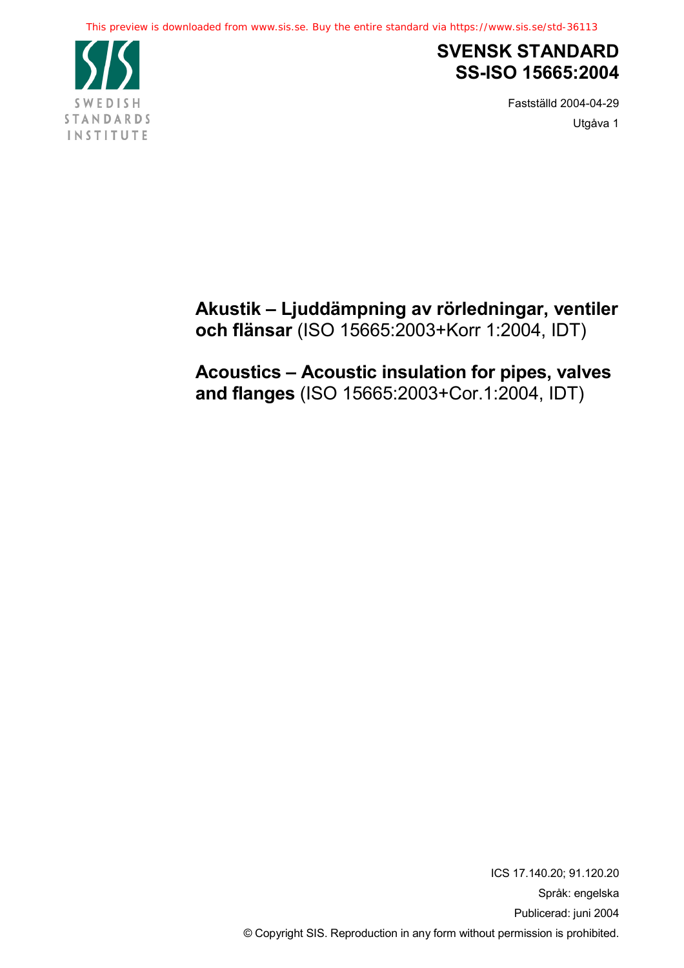

# **SVENSK STANDARD SS-ISO 15665:2004**

Fastställd 2004-04-29 Utgåva 1

**Akustik – Ljuddämpning av rörledningar, ventiler och flänsar** (ISO 15665:2003+Korr 1:2004, IDT)

**Acoustics – Acoustic insulation for pipes, valves and flanges** (ISO 15665:2003+Cor.1:2004, IDT)

> ICS 17.140.20; 91.120.20 Språk: engelska Publicerad: juni 2004 © Copyright SIS. Reproduction in any form without permission is prohibited.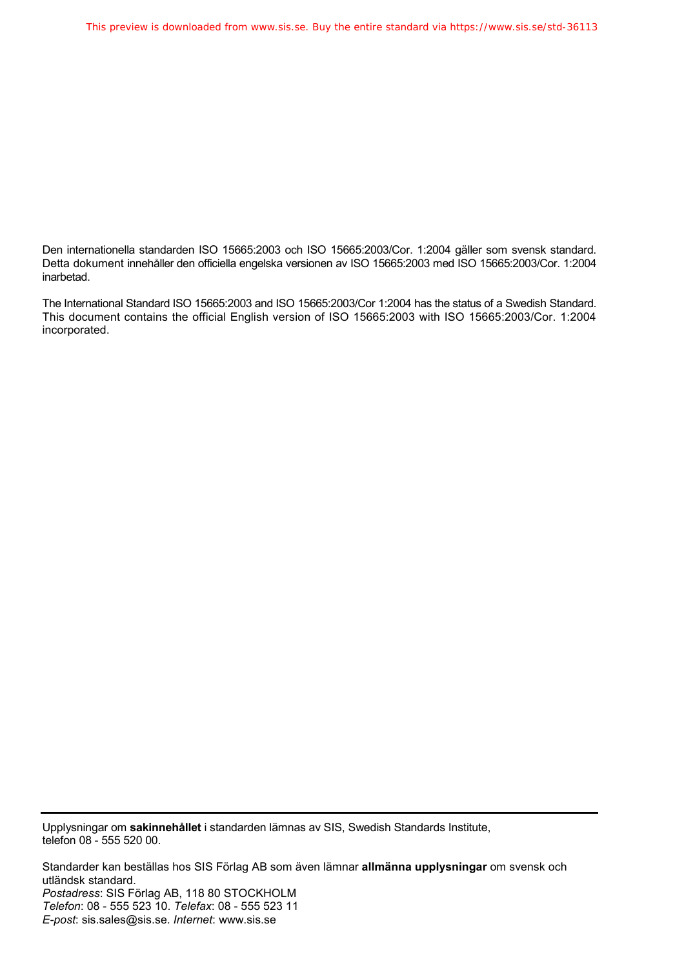Den internationella standarden ISO 15665:2003 och ISO 15665:2003/Cor. 1:2004 gäller som svensk standard. Detta dokument innehåller den officiella engelska versionen av ISO 15665:2003 med ISO 15665:2003/Cor. 1:2004 inarbetad.

The International Standard ISO 15665:2003 and ISO 15665:2003/Cor 1:2004 has the status of a Swedish Standard. This document contains the official English version of ISO 15665:2003 with ISO 15665:2003/Cor. 1:2004 incorporated.

Upplysningar om **sakinnehållet** i standarden lämnas av SIS, Swedish Standards Institute, telefon 08 - 555 520 00.

Standarder kan beställas hos SIS Förlag AB som även lämnar **allmänna upplysningar** om svensk och utländsk standard. *Postadress*: SIS Förlag AB, 118 80 STOCKHOLM *Telefon*: 08 - 555 523 10. *Telefax*: 08 - 555 523 11 *E-post*: sis.sales@sis.se. *Internet*: www.sis.se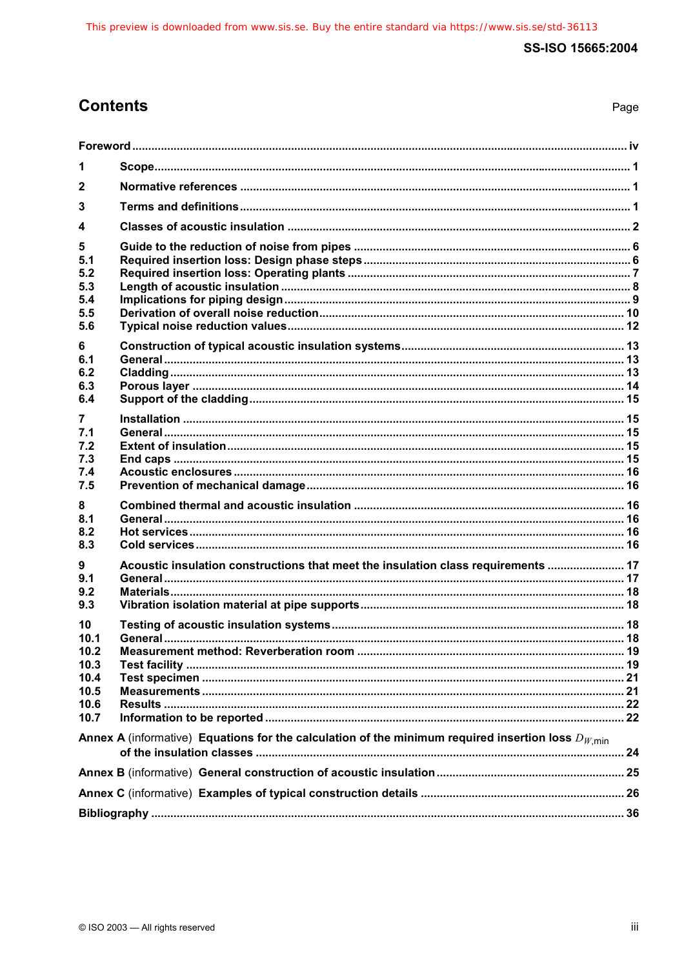# **Contents**

| × |
|---|
|---|

| 1                                                          |                                                                                                                                                                                                    |  |
|------------------------------------------------------------|----------------------------------------------------------------------------------------------------------------------------------------------------------------------------------------------------|--|
| $\mathbf{2}$                                               |                                                                                                                                                                                                    |  |
| 3                                                          |                                                                                                                                                                                                    |  |
| 4                                                          |                                                                                                                                                                                                    |  |
| 5<br>5.1<br>5.2<br>5.3<br>5.4<br>5.5<br>5.6                |                                                                                                                                                                                                    |  |
| 6<br>6.1<br>6.2<br>6.3<br>6.4                              |                                                                                                                                                                                                    |  |
| 7<br>7.1<br>7.2<br>7.3<br>7.4<br>7.5                       |                                                                                                                                                                                                    |  |
| 8<br>8.1<br>8.2<br>8.3                                     |                                                                                                                                                                                                    |  |
| 9<br>9.1<br>9.2<br>9.3                                     |                                                                                                                                                                                                    |  |
| 10<br>10.1<br>10.2<br>10.3<br>10.4<br>10.5<br>10.6<br>10.7 |                                                                                                                                                                                                    |  |
|                                                            | Acoustic insulation constructions that meet the insulation class requirements  17<br>Annex A (informative) Equations for the calculation of the minimum required insertion loss $D_{W,\text{min}}$ |  |
|                                                            |                                                                                                                                                                                                    |  |
|                                                            |                                                                                                                                                                                                    |  |
|                                                            |                                                                                                                                                                                                    |  |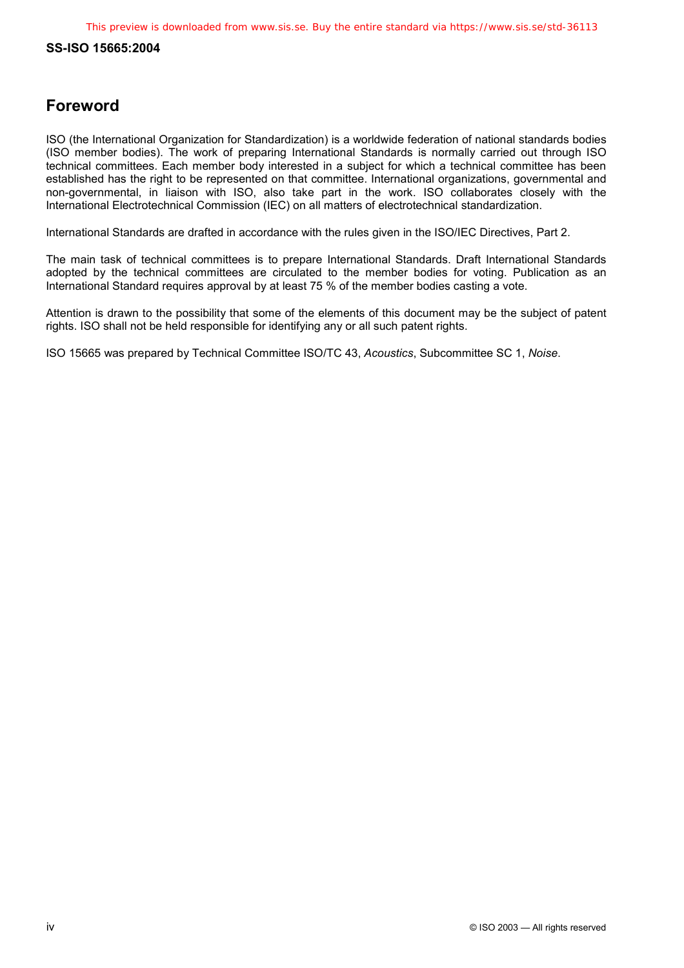# **Foreword**

ISO (the International Organization for Standardization) is a worldwide federation of national standards bodies (ISO member bodies). The work of preparing International Standards is normally carried out through ISO technical committees. Each member body interested in a subject for which a technical committee has been established has the right to be represented on that committee. International organizations, governmental and non-governmental, in liaison with ISO, also take part in the work. ISO collaborates closely with the International Electrotechnical Commission (IEC) on all matters of electrotechnical standardization.

International Standards are drafted in accordance with the rules given in the ISO/IEC Directives, Part 2.

The main task of technical committees is to prepare International Standards. Draft International Standards adopted by the technical committees are circulated to the member bodies for voting. Publication as an International Standard requires approval by at least 75 % of the member bodies casting a vote.

Attention is drawn to the possibility that some of the elements of this document may be the subject of patent rights. ISO shall not be held responsible for identifying any or all such patent rights.

ISO 15665 was prepared by Technical Committee ISO/TC 43, *Acoustics*, Subcommittee SC 1, *Noise*.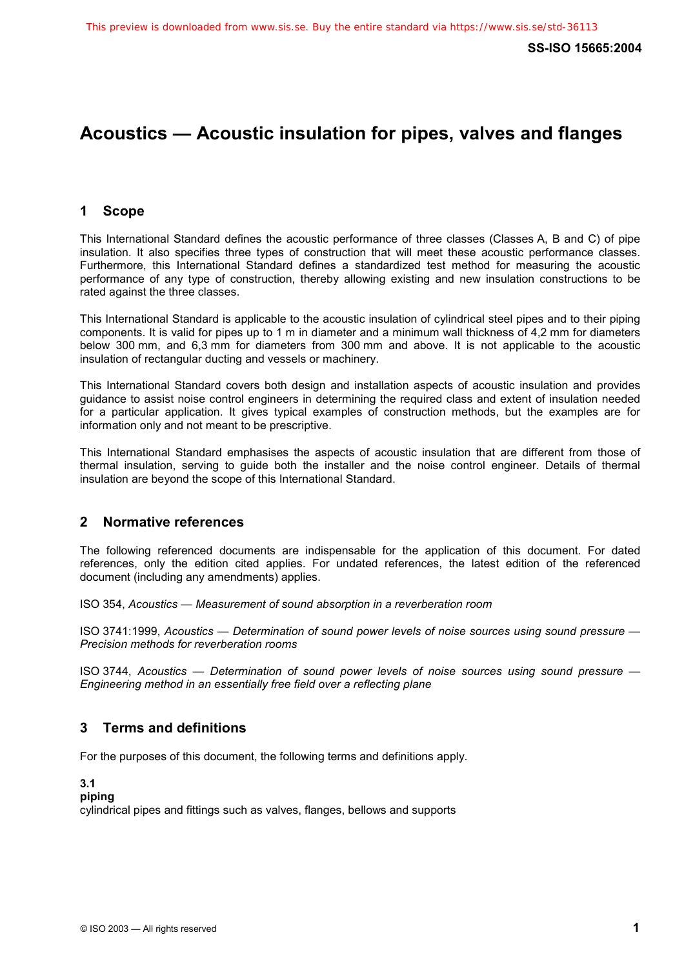# **Acoustics — Acoustic insulation for pipes, valves and flanges**

# **1 Scope**

This International Standard defines the acoustic performance of three classes (Classes A, B and C) of pipe insulation. It also specifies three types of construction that will meet these acoustic performance classes. Furthermore, this International Standard defines a standardized test method for measuring the acoustic performance of any type of construction, thereby allowing existing and new insulation constructions to be rated against the three classes.

This International Standard is applicable to the acoustic insulation of cylindrical steel pipes and to their piping components. It is valid for pipes up to 1 m in diameter and a minimum wall thickness of 4,2 mm for diameters below 300 mm, and 6,3 mm for diameters from 300 mm and above. It is not applicable to the acoustic insulation of rectangular ducting and vessels or machinery.

This International Standard covers both design and installation aspects of acoustic insulation and provides guidance to assist noise control engineers in determining the required class and extent of insulation needed for a particular application. It gives typical examples of construction methods, but the examples are for information only and not meant to be prescriptive.

This International Standard emphasises the aspects of acoustic insulation that are different from those of thermal insulation, serving to guide both the installer and the noise control engineer. Details of thermal insulation are beyond the scope of this International Standard.

## **2 Normative references**

The following referenced documents are indispensable for the application of this document. For dated references, only the edition cited applies. For undated references, the latest edition of the referenced document (including any amendments) applies.

ISO 354, *Acoustics — Measurement of sound absorption in a reverberation room*

ISO 3741:1999, *Acoustics — Determination of sound power levels of noise sources using sound pressure — Precision methods for reverberation rooms*

ISO 3744, *Acoustics — Determination of sound power levels of noise sources using sound pressure — Engineering method in an essentially free field over a reflecting plane*

# **3 Terms and definitions**

For the purposes of this document, the following terms and definitions apply.

## **3.1**

**piping** 

cylindrical pipes and fittings such as valves, flanges, bellows and supports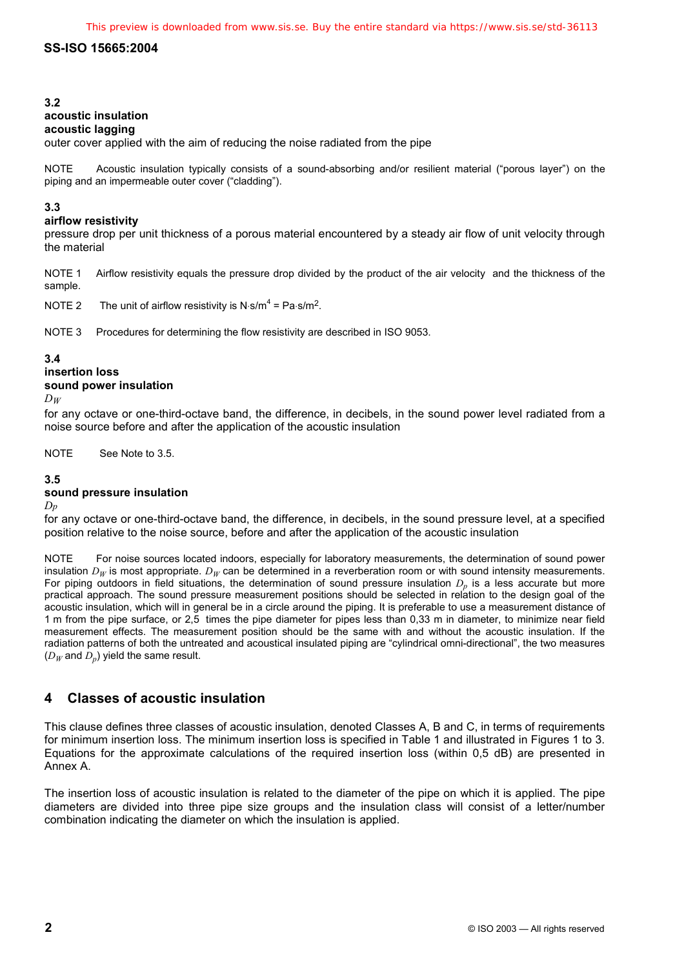## **3.2**

## **acoustic insulation**

#### **acoustic lagging**

outer cover applied with the aim of reducing the noise radiated from the pipe

NOTE Acoustic insulation typically consists of a sound-absorbing and/or resilient material ("porous layer") on the piping and an impermeable outer cover ("cladding").

### **3.3**

#### **airflow resistivity**

pressure drop per unit thickness of a porous material encountered by a steady air flow of unit velocity through the material

NOTE 1 Airflow resistivity equals the pressure drop divided by the product of the air velocity and the thickness of the sample.

NOTE 2 The unit of airflow resistivity is N $\cdot$ s/m<sup>4</sup> = Pa $\cdot$ s/m<sup>2</sup>.

NOTE 3 Procedures for determining the flow resistivity are described in ISO 9053.

## **3.4**

## **insertion loss**

#### **sound power insulation**

*DW*

for any octave or one-third-octave band, the difference, in decibels, in the sound power level radiated from a noise source before and after the application of the acoustic insulation

NOTE See Note to 3.5.

### **3.5**

#### **sound pressure insulation**

*Dp*

for any octave or one-third-octave band, the difference, in decibels, in the sound pressure level, at a specified position relative to the noise source, before and after the application of the acoustic insulation

NOTE For noise sources located indoors, especially for laboratory measurements, the determination of sound power insulation  $D_W$  is most appropriate.  $D_W$  can be determined in a reverberation room or with sound intensity measurements. For piping outdoors in field situations, the determination of sound pressure insulation  $D<sub>p</sub>$  is a less accurate but more practical approach. The sound pressure measurement positions should be selected in relation to the design goal of the acoustic insulation, which will in general be in a circle around the piping. It is preferable to use a measurement distance of 1 m from the pipe surface, or 2,5 times the pipe diameter for pipes less than 0,33 m in diameter, to minimize near field measurement effects. The measurement position should be the same with and without the acoustic insulation. If the radiation patterns of both the untreated and acoustical insulated piping are "cylindrical omni-directional", the two measures  $(D_W$  and  $D_p$ ) yield the same result.

# **4 Classes of acoustic insulation**

This clause defines three classes of acoustic insulation, denoted Classes A, B and C, in terms of requirements for minimum insertion loss. The minimum insertion loss is specified in Table 1 and illustrated in Figures 1 to 3. Equations for the approximate calculations of the required insertion loss (within 0,5 dB) are presented in Annex A.

The insertion loss of acoustic insulation is related to the diameter of the pipe on which it is applied. The pipe diameters are divided into three pipe size groups and the insulation class will consist of a letter/number combination indicating the diameter on which the insulation is applied.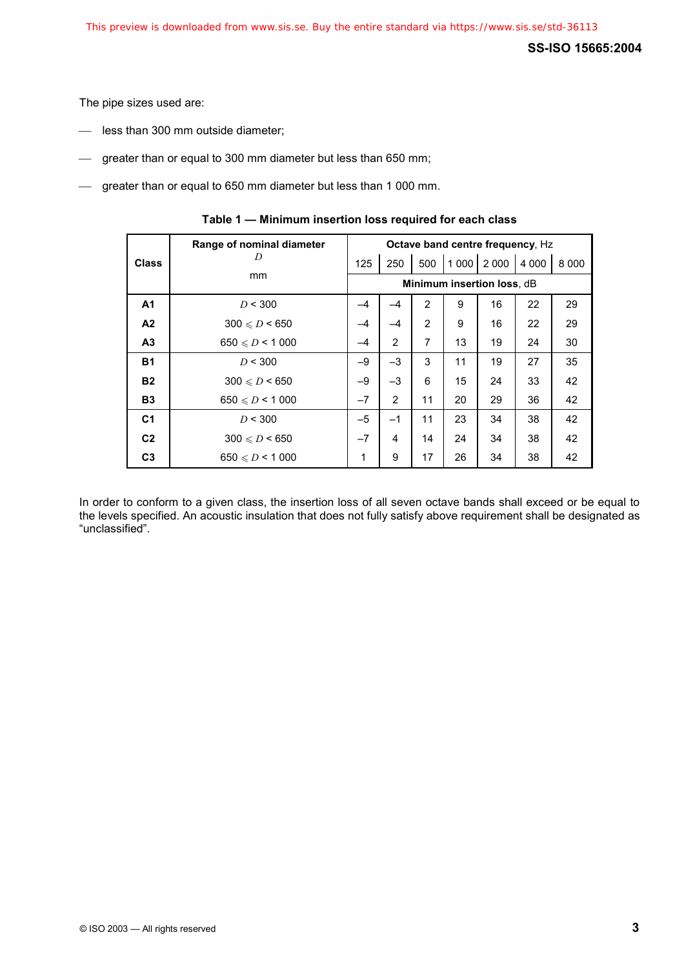The pipe sizes used are:

- less than 300 mm outside diameter;
- greater than or equal to 300 mm diameter but less than 650 mm;
- greater than or equal to 650 mm diameter but less than 1 000 mm.

|                | Range of nominal diameter |                            |      | Octave band centre frequency, Hz |         |         |         |         |
|----------------|---------------------------|----------------------------|------|----------------------------------|---------|---------|---------|---------|
| <b>Class</b>   | D<br><sub>mm</sub>        | 125                        | 250  | 500                              | 1 0 0 0 | 2 0 0 0 | 4 0 0 0 | 8 0 0 0 |
|                |                           | Minimum insertion loss, dB |      |                                  |         |         |         |         |
| A1             | D < 300                   | $-4$                       |      | $\overline{2}$                   | 9       | 16      | 22      | 29      |
| A <sub>2</sub> | $300 \le D < 650$         | $-4$                       | $-4$ | $\overline{2}$                   | 9       | 16      | 22      | 29      |
| A <sub>3</sub> | $650 \le D < 1000$        | -4                         | 2    | $\overline{7}$                   | 13      | 19      | 24      | 30      |
| <b>B1</b>      | D < 300                   | $-9$                       | $-3$ | 3                                | 11      | 19      | 27      | 35      |
| <b>B2</b>      | $300 \le D \le 650$       | $-9$                       | $-3$ | 6                                | 15      | 24      | 33      | 42      |
| <b>B3</b>      | $650 \le D < 1000$        | $-7$                       | 2    | 11                               | 20      | 29      | 36      | 42      |
| C <sub>1</sub> | D < 300                   | $-5$                       | $-1$ | 11                               | 23      | 34      | 38      | 42      |
| C <sub>2</sub> | $300 \le D < 650$         | $-7$                       | 4    | 14                               | 24      | 34      | 38      | 42      |
| C <sub>3</sub> | $650 \le D \le 1000$      | 1                          | 9    | 17                               | 26      | 34      | 38      | 42      |

In order to conform to a given class, the insertion loss of all seven octave bands shall exceed or be equal to the levels specified. An acoustic insulation that does not fully satisfy above requirement shall be designated as "unclassified".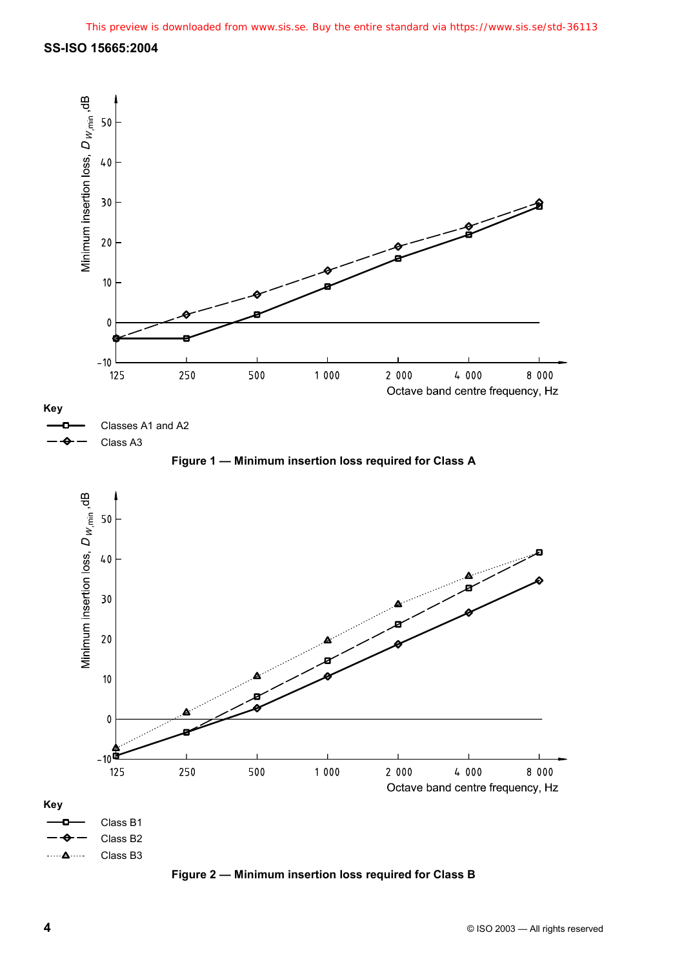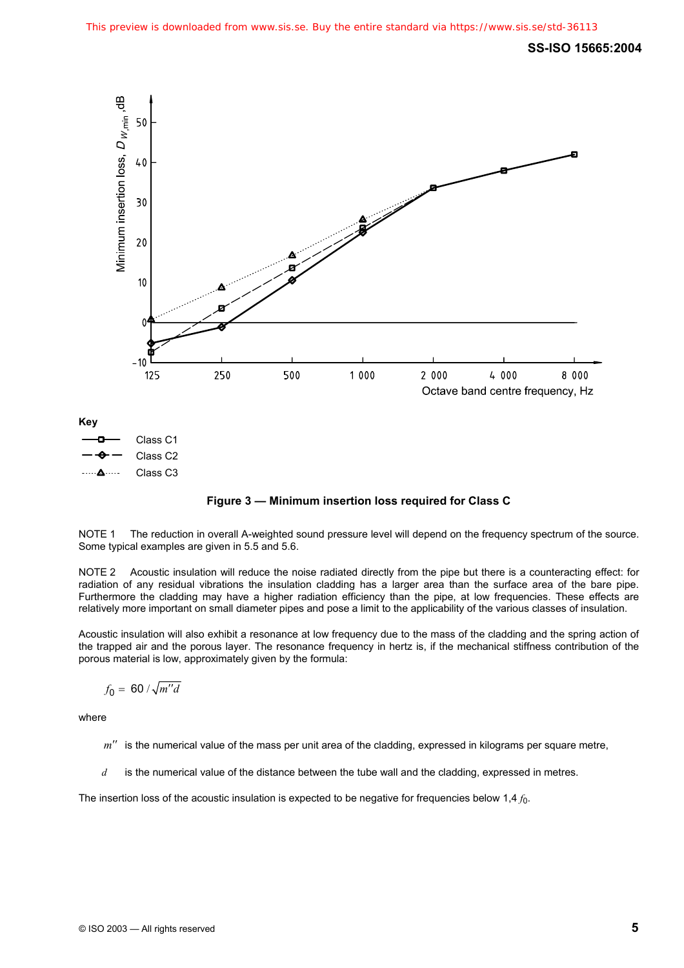

**Figure 3 — Minimum insertion loss required for Class C** 

NOTE 1 The reduction in overall A-weighted sound pressure level will depend on the frequency spectrum of the source. Some typical examples are given in 5.5 and 5.6.

NOTE 2 Acoustic insulation will reduce the noise radiated directly from the pipe but there is a counteracting effect: for radiation of any residual vibrations the insulation cladding has a larger area than the surface area of the bare pipe. Furthermore the cladding may have a higher radiation efficiency than the pipe, at low frequencies. These effects are relatively more important on small diameter pipes and pose a limit to the applicability of the various classes of insulation.

Acoustic insulation will also exhibit a resonance at low frequency due to the mass of the cladding and the spring action of the trapped air and the porous layer. The resonance frequency in hertz is, if the mechanical stiffness contribution of the porous material is low, approximately given by the formula:

$$
f_0 = 60 / \sqrt{m''d}
$$

where

- *m*<sup> $\prime\prime\prime$ </sup> is the numerical value of the mass per unit area of the cladding, expressed in kilograms per square metre,
- *d* is the numerical value of the distance between the tube wall and the cladding, expressed in metres.

The insertion loss of the acoustic insulation is expected to be negative for frequencies below 1,4  $f_0$ .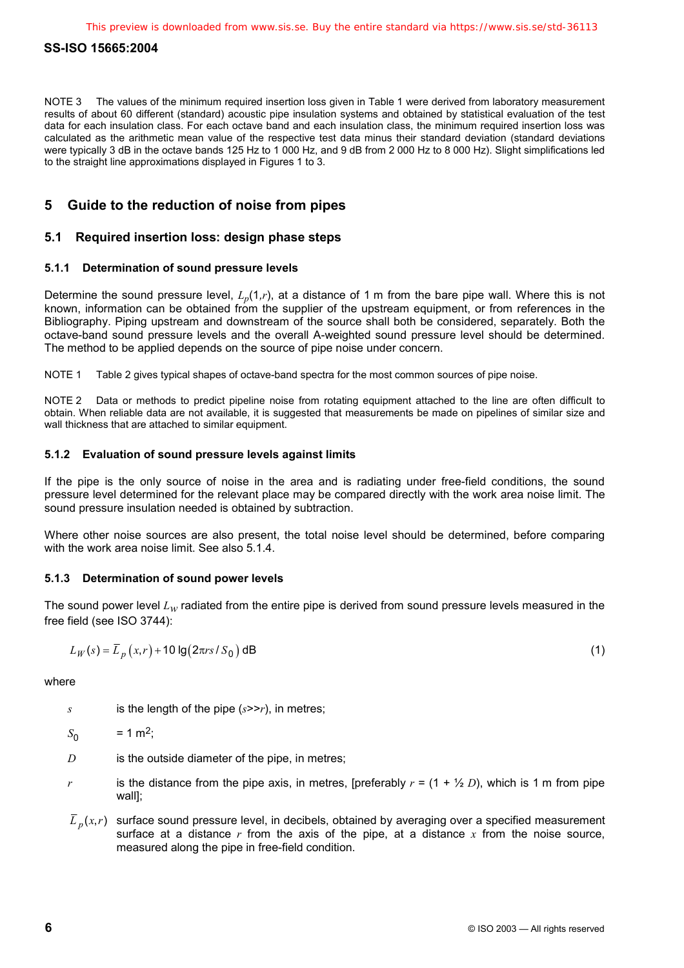NOTE 3 The values of the minimum required insertion loss given in Table 1 were derived from laboratory measurement results of about 60 different (standard) acoustic pipe insulation systems and obtained by statistical evaluation of the test data for each insulation class. For each octave band and each insulation class, the minimum required insertion loss was calculated as the arithmetic mean value of the respective test data minus their standard deviation (standard deviations were typically 3 dB in the octave bands 125 Hz to 1 000 Hz, and 9 dB from 2 000 Hz to 8 000 Hz). Slight simplifications led to the straight line approximations displayed in Figures 1 to 3.

# **5 Guide to the reduction of noise from pipes**

## **5.1 Required insertion loss: design phase steps**

#### **5.1.1 Determination of sound pressure levels**

Determine the sound pressure level,  $L_p(1,r)$ , at a distance of 1 m from the bare pipe wall. Where this is not known, information can be obtained from the supplier of the upstream equipment, or from references in the Bibliography. Piping upstream and downstream of the source shall both be considered, separately. Both the octave-band sound pressure levels and the overall A-weighted sound pressure level should be determined. The method to be applied depends on the source of pipe noise under concern.

NOTE 1 Table 2 gives typical shapes of octave-band spectra for the most common sources of pipe noise.

NOTE 2 Data or methods to predict pipeline noise from rotating equipment attached to the line are often difficult to obtain. When reliable data are not available, it is suggested that measurements be made on pipelines of similar size and wall thickness that are attached to similar equipment.

#### **5.1.2 Evaluation of sound pressure levels against limits**

If the pipe is the only source of noise in the area and is radiating under free-field conditions, the sound pressure level determined for the relevant place may be compared directly with the work area noise limit. The sound pressure insulation needed is obtained by subtraction.

Where other noise sources are also present, the total noise level should be determined, before comparing with the work area noise limit. See also 5.1.4.

#### **5.1.3 Determination of sound power levels**

The sound power level *Lw* radiated from the entire pipe is derived from sound pressure levels measured in the free field (see ISO 3744):

$$
L_W(s) = \overline{L}_p(x,r) + 10 \lg(2\pi rs / S_0) \, \text{dB} \tag{1}
$$

where

*s* is the length of the pipe (*s*>>*r*), in metres;

 $S_0$  = 1 m<sup>2</sup>;

- *D* is the outside diameter of the pipe, in metres;
- *r* is the distance from the pipe axis, in metres, [preferably  $r = (1 + \frac{1}{2} D)$ , which is 1 m from pipe wall];
- $\overline{L}_p(x,r)$  surface sound pressure level, in decibels, obtained by averaging over a specified measurement surface at a distance *r* from the axis of the pipe, at a distance *x* from the noise source, measured along the pipe in free-field condition.